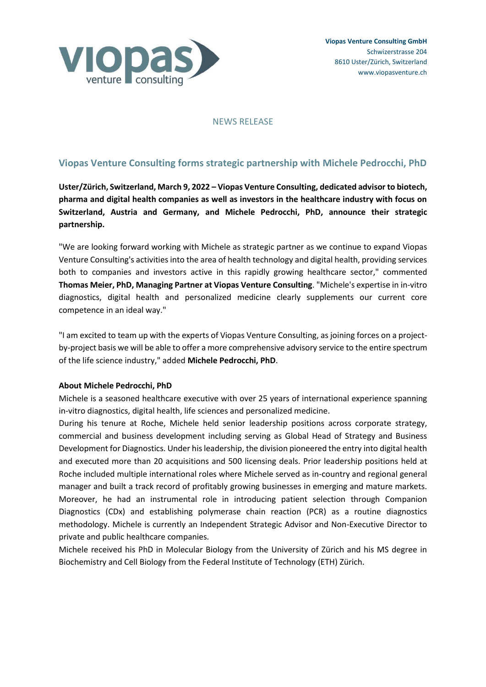

## NEWS RELEASE

# **Viopas Venture Consulting forms strategic partnership with Michele Pedrocchi, PhD**

**Uster/Zürich, Switzerland, March 9, 2022 – Viopas Venture Consulting, dedicated advisor to biotech, pharma and digital health companies as well as investors in the healthcare industry with focus on Switzerland, Austria and Germany, and Michele Pedrocchi, PhD, announce their strategic partnership.**

"We are looking forward working with Michele as strategic partner as we continue to expand Viopas Venture Consulting's activities into the area of health technology and digital health, providing services both to companies and investors active in this rapidly growing healthcare sector," commented **Thomas Meier, PhD, Managing Partner at Viopas Venture Consulting**. "Michele's expertise in in-vitro diagnostics, digital health and personalized medicine clearly supplements our current core competence in an ideal way."

"I am excited to team up with the experts of Viopas Venture Consulting, as joining forces on a projectby-project basis we will be able to offer a more comprehensive advisory service to the entire spectrum of the life science industry," added **Michele Pedrocchi, PhD**.

#### **About Michele Pedrocchi, PhD**

Michele is a seasoned healthcare executive with over 25 years of international experience spanning in-vitro diagnostics, digital health, life sciences and personalized medicine.

During his tenure at Roche, Michele held senior leadership positions across corporate strategy, commercial and business development including serving as Global Head of Strategy and Business Development for Diagnostics. Under his leadership, the division pioneered the entry into digital health and executed more than 20 acquisitions and 500 licensing deals. Prior leadership positions held at Roche included multiple international roles where Michele served as in-country and regional general manager and built a track record of profitably growing businesses in emerging and mature markets. Moreover, he had an instrumental role in introducing patient selection through Companion Diagnostics (CDx) and establishing polymerase chain reaction (PCR) as a routine diagnostics methodology. Michele is currently an Independent Strategic Advisor and Non-Executive Director to private and public healthcare companies.

Michele received his PhD in Molecular Biology from the University of Zürich and his MS degree in Biochemistry and Cell Biology from the Federal Institute of Technology (ETH) Zürich.